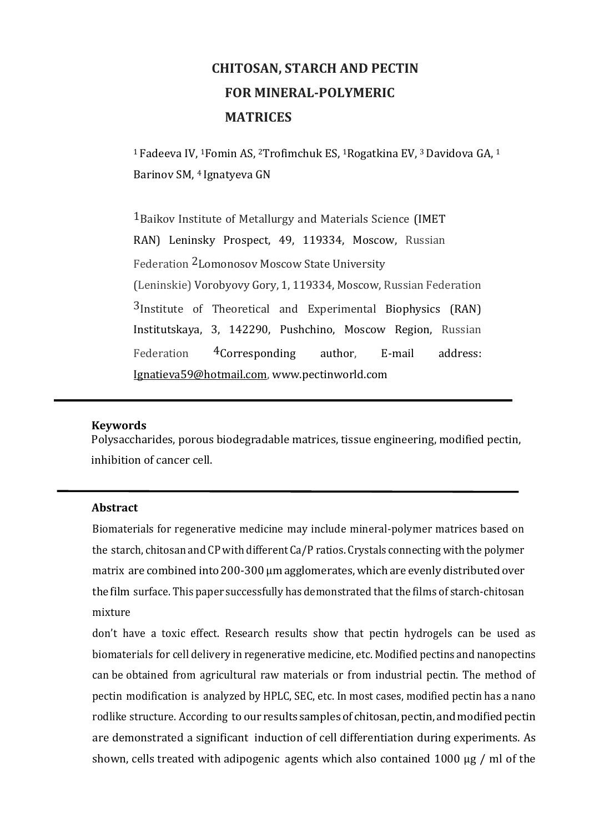# **CHITOSAN, STARCH AND PECTIN FOR MINERAL-POLYMERIC MATRICES**

<sup>1</sup>Fadeeva IV, 1Fomin AS, 2Trofimchuk ES, 1Rogatkina EV, 3 Davidova GA, <sup>1</sup> Barinov SM, 4 Ignatyeva GN

1Baikov Institute of Metallurgy and Materials Science (IMET RAN) Leninsky Prospect, 49, 119334, Moscow, Russian Federation 2Lomonosov Moscow State University (Leninskie) Vorobyovy Gory, 1, 119334, Moscow, Russian Federation 3Institute of Theoretical and Experimental Biophysics (RAN) Institutskaya, 3, 142290, Pushchino, Moscow Region, Russian Federation 4Corresponding author, E-mail address: [Ignatieva59@hotmail.com,](mailto:Ignatieva59@hotmail.com) [www.pectinworld.com](http://www.pectinworld.com/)

#### **Keywords**

Polysaccharides, porous biodegradable matrices, tissue engineering, modified pectin, inhibition of cancer cell.

#### **Abstract**

Biomaterials for regenerative medicine may include mineral-polymer matrices based on the starch, chitosan and CP with different Ca/P ratios. Crystals connecting with the polymer matrix are combined into 200-300 μm agglomerates, which are evenly distributed over thefilm surface. This paper successfully has demonstrated that the films of starch-chitosan mixture

don't have a toxic effect. Research results show that pectin hydrogels can be used as biomaterials for cell delivery in regenerative medicine, etc. Modified pectins and nanopectins can be obtained from agricultural raw materials or from industrial pectin. The method of pectin modification is analyzed by HPLC, SEC, etc. In most cases, modified pectin has a nano rodlike structure. According to our results samples of chitosan, pectin, and modified pectin are demonstrated a significant induction of cell differentiation during experiments. As shown, cells treated with adipogenic agents which also contained 1000 μg / ml of the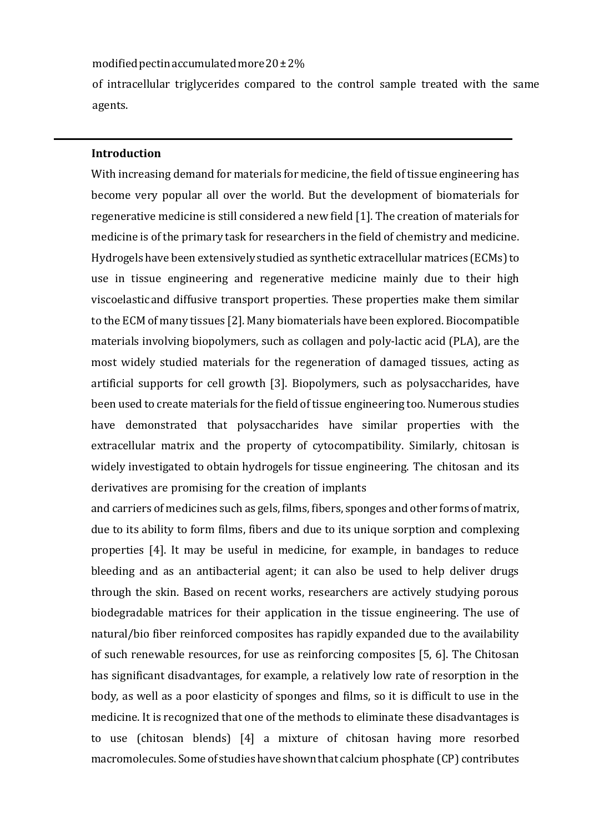modified pectin accumulated more  $20\pm2\%$ 

of intracellular triglycerides compared to the control sample treated with the same agents.

#### **Introduction**

With increasing demand for materials for medicine, the field of tissue engineering has become very popular all over the world. But the development of biomaterials for regenerative medicine is still considered a new field [1]. The creation of materials for medicine is of the primary task for researchers in the field of chemistry and medicine. Hydrogels have been extensively studied as synthetic extracellular matrices (ECMs)to use in tissue engineering and regenerative medicine mainly due to their high viscoelasticand diffusive transport properties. These properties make them similar to the ECM of many tissues [2]. Many biomaterials have been explored. Biocompatible materials involving biopolymers, such as collagen and poly-lactic acid (PLA), are the most widely studied materials for the regeneration of damaged tissues, acting as artificial supports for cell growth [3]. Biopolymers, such as polysaccharides, have been used to create materials for the field of tissue engineering too. Numerous studies have demonstrated that polysaccharides have similar properties with the extracellular matrix and the property of cytocompatibility. Similarly, chitosan is widely investigated to obtain hydrogels for tissue engineering. The chitosan and its derivatives are promising for the creation of implants

and carriers of medicines such as gels, films, fibers, sponges and other forms of matrix, due to its ability to form films, fibers and due to its unique sorption and complexing properties [4]. It may be useful in medicine, for example, in bandages to reduce bleeding and as an antibacterial agent; it can also be used to help deliver drugs through the skin. Based on recent works, researchers are actively studying porous biodegradable matrices for their application in the tissue engineering. The use of natural/bio fiber reinforced composites has rapidly expanded due to the availability of such renewable resources, for use as reinforcing composites [5, 6]. The Chitosan has significant disadvantages, for example, a relatively low rate of resorption in the body, as well as a poor elasticity of sponges and films, so it is difficult to use in the medicine. It is recognized that one of the methods to eliminate these disadvantages is to use (chitosan blends) [4] a mixture of chitosan having more resorbed macromolecules.Some of studieshave shownthat calcium phosphate (CP) contributes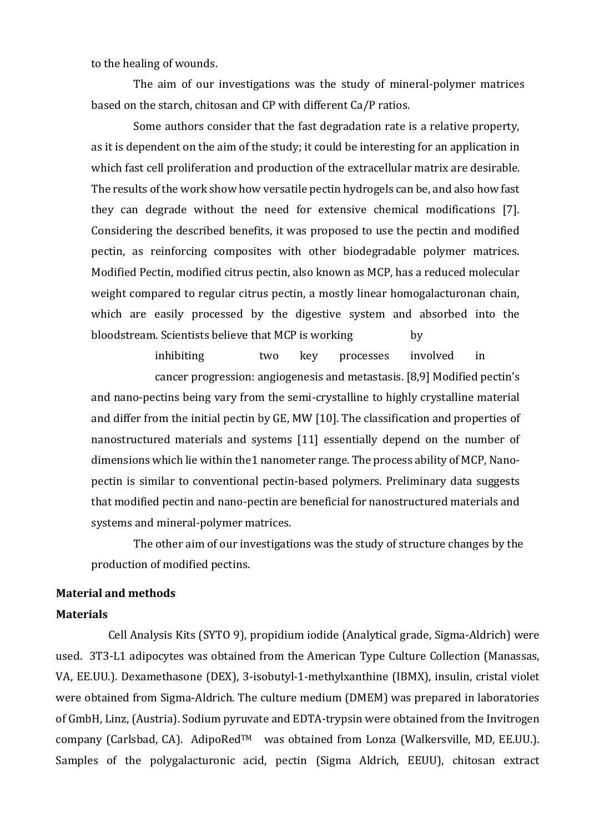to the healing of wounds.

The aim of our investigations was the study of mineral-polymer matrices based on the starch, chitosan and CP with different Ca/P ratios.

Some authors consider that the fast degradation rate is a relative property, as it is dependent on the aim of the study; it could be interesting for an application in which fast cell proliferation and production of the extracellular matrix are desirable. The results of the work show how versatile pectin hydrogels can be, and also how fast they can degrade without the need for extensive chemical modifications [7]. Considering the described benefits, it was proposed to use the pectin and modified pectin, as reinforcing composites with other biodegradable polymer matrices. Modified Pectin, modified citrus pectin, also known as MCP, has a reduced molecular weight compared to regular citrus pectin, a mostly linear homogalacturonan chain, which are easily processed by the digestive system and absorbed into the bloodstream. Scientists believe that MCP is working by

inhibiting two key processes involved in cancer progression: angiogenesis and metastasis. [8,9] Modified pectin's and nano-pectins being vary from the semi-crystalline to highly crystalline material and differ from the initial pectin by GE, MW [10]. The classification and properties of nanostructured materials and systems [11] essentially depend on the number of dimensions which lie within the1 nanometer range. The process ability of MCP, Nanopectin is similar to conventional pectin-based polymers. Preliminary data suggests that modified pectin and nano-pectin are beneficial for nanostructured materials and systems and mineral-polymer matrices.

The other aim of our investigations was the study of structure changes by the production of modified pectins.

## **Material and methods**

#### **Materials**

 Cell Analysis Kits (SYTO 9), propidium iodide (Analytical grade, Sigma-Aldrich) were used. 3T3-L1 adipocytes was obtained from the American Type Culture Collection (Manassas, VA, EE.UU.). Dexamethasone (DEX), 3-isobutyl-1-methylxanthine (IBMX), insulin, cristal violet were obtained from Sigma-Aldrich. The culture medium (DMEM) was prepared in laboratories of GmbH, Linz, (Austria). Sodium pyruvate and EDTA-trypsin were obtained from the Invitrogen company (Carlsbad, CA). AdipoRed™ was obtained from Lonza (Walkersville, MD, EE.UU.). Samples of the polygalacturonic acid, pectin (Sigma Aldrich, EEUU), chitosan extract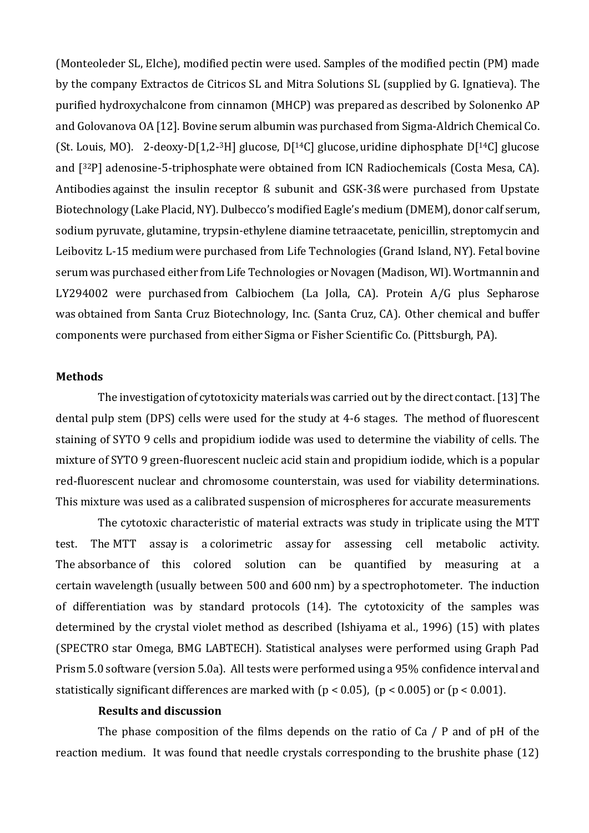(Monteoleder SL, Elche), modified pectin were used. Samples of the modified pectin (PM) made by the company Extractos de Citricos SL and Mitra Solutions SL (supplied by G. Ignatieva). The purified hydroxychalcone from cinnamon (MHCP) was prepared as described by Solonenko AP and Golovanova OA [12]. Bovine serum albumin was purchased from Sigma-Aldrich Chemical Co. (St. Louis, MO). 2-deoxy-D[1,2-<sup>3</sup>H] glucose, D[<sup>14</sup>C] glucose, uridine diphosphate D[<sup>14</sup>C] glucose and [32P] adenosine-5-triphosphate were obtained from ICN Radiochemicals (Costa Mesa, CA). Antibodies against the insulin receptor ß subunit and GSK-3ß were purchased from Upstate Biotechnology (Lake Placid, NY). Dulbecco's modified Eagle's medium (DMEM), donor calf serum, sodium pyruvate, glutamine, trypsin-ethylene diamine tetraacetate, penicillin, streptomycin and Leibovitz L-15 medium were purchased from Life Technologies (Grand Island, NY). Fetal bovine serum was purchased either from Life Technologies or Novagen (Madison, WI). Wortmannin and LY294002 were purchased from Calbiochem (La Jolla, CA). Protein A/G plus Sepharose was obtained from Santa Cruz Biotechnology, Inc. (Santa Cruz, CA). Other chemical and buffer components were purchased from either Sigma or Fisher Scientific Co. (Pittsburgh, PA).

### **Methods**

The investigation of cytotoxicity materials was carried out by the direct contact. [13] The dental pulp stem (DPS) cells were used for the study at 4-6 stages. The method of fluorescent staining of SYTO 9 cells and propidium iodide was used to determine the viability of cells. The mixture of SYTO 9 green-fluorescent nucleic acid stain and propidium iodide, which is a popular red-fluorescent nuclear and chromosome counterstain, was used for viability determinations. This mixture was used as a calibrated suspension of microspheres for accurate measurements

The cytotoxic characteristic of material extracts was study in triplicate using the MTT test. The MTT assay is a [colorimetric assay](https://en.wikipedia.org/wiki/Colorimetry_(chemical_method)) for assessing cell metabolic activity. The [absorbance](https://en.wikipedia.org/wiki/Absorbance) of this colored solution can be quantified by measuring at a certain [wavelength](https://en.wikipedia.org/wiki/Wavelength) (usually between 500 and 600 nm) by a [spectrophotometer.](https://en.wikipedia.org/wiki/Spectrophotometer) The induction of differentiation was by standard protocols (14). The cytotoxicity of the samples was determined by the crystal violet method as described (Ishiyama et al., 1996) (15) with plates (SPECTRO star Omega, BMG LABTECH). Statistical analyses were performed using Graph Pad Prism 5.0 software (version 5.0a). All tests were performed using a 95% confidence interval and statistically significant differences are marked with  $(p < 0.05)$ ,  $(p < 0.005)$  or  $(p < 0.001)$ .

## **Results and discussion**

The phase composition of the films depends on the ratio of Ca / P and of pH of the reaction medium. It was found that needle crystals corresponding to the brushite phase (12)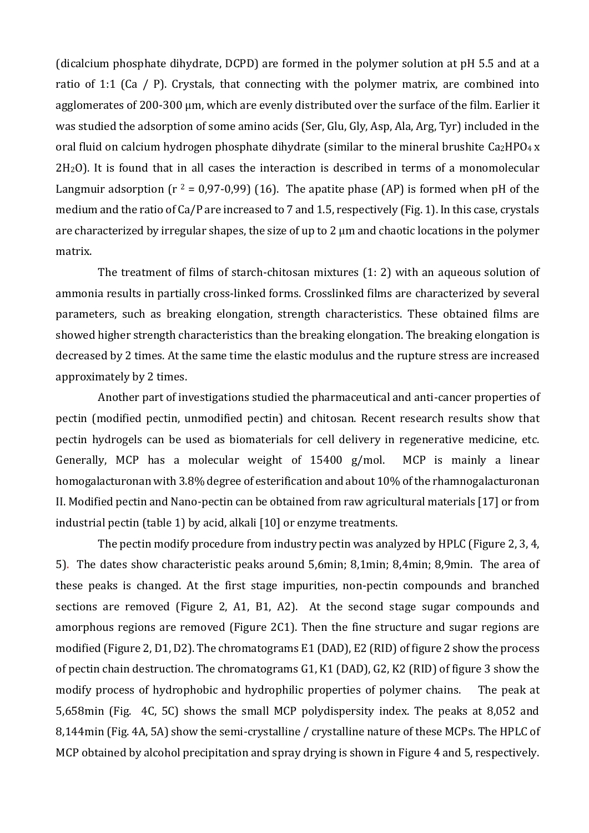(dicalcium phosphate dihydrate, DCPD) are formed in the polymer solution at pH 5.5 and at a ratio of 1:1 (Ca / P). Crystals, that connecting with the polymer matrix, are combined into agglomerates of 200-300 μm, which are evenly distributed over the surface of the film. Earlier it was studied the adsorption of some amino acids (Ser, Glu, Gly, Asp, Ala, Arg, Tyr) included in the oral fluid on calcium hydrogen phosphate dihydrate (similar to the mineral brushite Ca2HPO4 x  $2H<sub>2</sub>0$ . It is found that in all cases the interaction is described in terms of a monomolecular Langmuir adsorption ( $r^2 = 0.97-0.99$ ) (16). The apatite phase (AP) is formed when pH of the medium and the ratio of Ca/P are increased to 7 and 1.5, respectively (Fig. 1). In this case, crystals are characterized by irregular shapes, the size of up to 2 μm and chaotic locations in the polymer matrix.

The treatment of films of starch-chitosan mixtures (1: 2) with an aqueous solution of ammonia results in partially cross-linked forms. Crosslinked films are characterized by several parameters, such as breaking elongation, strength characteristics. These obtained films are showed higher strength characteristics than the breaking elongation. The breaking elongation is decreased by 2 times. At the same time the elastic modulus and the rupture stress are increased approximately by 2 times.

Another part of investigations studied the pharmaceutical and anti-cancer properties of pectin (modified pectin, unmodified pectin) and chitosan. Recent research results show that pectin hydrogels can be used as biomaterials for cell delivery in regenerative medicine, etc. Generally, MCP has a molecular weight of 15400 g/mol. MCP is mainly a linear homogalacturonan with 3.8% degree of esterification and about 10% of the rhamnogalacturonan II. Modified pectin and Nano-pectin can be obtained from raw agricultural materials [17] or from industrial pectin (table 1) by acid, alkali [10] or enzyme treatments.

The pectin modify procedure from industry pectin was analyzed by HPLC (Figure 2, 3, 4, 5). The dates show characteristic peaks around 5,6min; 8,1min; 8,4min; 8,9min. The area of these peaks is changed. At the first stage impurities, non-pectin compounds and branched sections are removed (Figure 2, A1, B1, A2). At the second stage sugar compounds and amorphous regions are removed (Figure 2C1). Then the fine structure and sugar regions are modified (Figure 2, D1, D2). The chromatograms E1 (DAD), E2 (RID) of figure 2 show the process of pectin chain destruction. The chromatograms G1, K1 (DAD), G2, K2 (RID) of figure 3 show the modify process of hydrophobic and hydrophilic properties of polymer chains. The peak at 5,658min (Fig. 4C, 5C) shows the small MCP polydispersity index. The peaks at 8,052 and 8,144min (Fig. 4A, 5A) show the semi-crystalline / crystalline nature of these MCPs. The HPLC of MCP obtained by alcohol precipitation and spray drying is shown in Figure 4 and 5, respectively.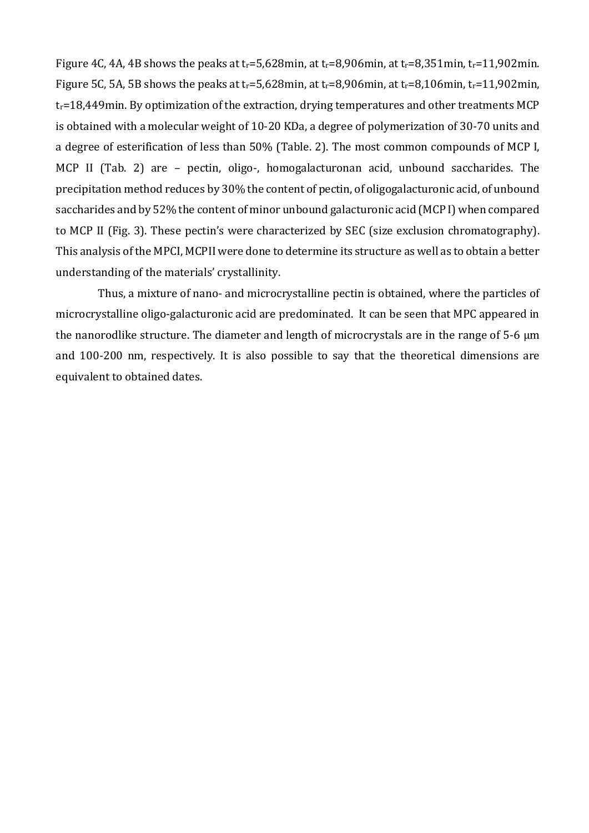Figure 4C, 4A, 4B shows the peaks at tr=5,628min, at tr=8,906min, at tr=8,351min, tr=11,902min. Figure 5C, 5A, 5B shows the peaks at tr=5,628min, at tr=8,906min, at tr=8,106min, tr=11,902min, tr=18,449min. By optimization of the extraction, drying temperatures and other treatments MCP is obtained with a molecular weight of 10-20 KDa, a degree of polymerization of 30-70 units and a degree of esterification of less than 50% (Table. 2). The most common compounds of MCP I, MCP II (Tab. 2) are – pectin, oligo-, homogalacturonan acid, unbound saccharides. The precipitation method reduces by 30% the content of pectin, of oligogalacturonic acid, of unbound saccharides and by 52% the content of minor unbound galacturonic acid (MCP I) when compared to MCP II (Fig. 3). These pectin's were characterized by SEC (size exclusion chromatography). This analysis of the MPCI, MCPII were done to determine its structure as well as to obtain a better understanding of the materials' crystallinity.

Thus, a mixture of nano- and microcrystalline pectin is obtained, where the particles of microcrystalline oligo-galacturonic acid are predominated. It can be seen that MPC appeared in the nanorodlike structure. The diameter and length of microcrystals are in the range of 5-6 μm and 100-200 nm, respectively. It is also possible to say that the theoretical dimensions are equivalent to obtained dates.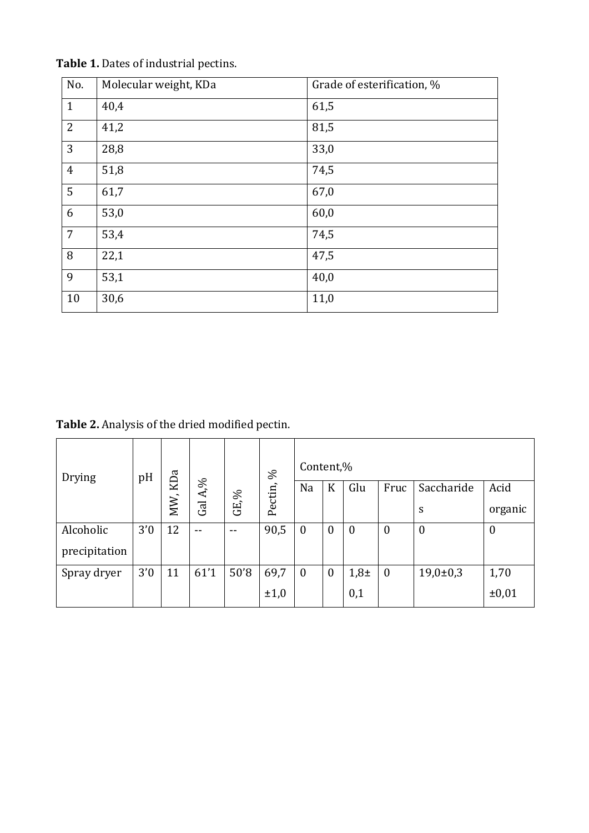| No.            | Molecular weight, KDa | Grade of esterification, % |
|----------------|-----------------------|----------------------------|
| $\mathbf{1}$   | 40,4                  | 61,5                       |
| $\overline{2}$ | 41,2                  | 81,5                       |
| 3              | 28,8                  | 33,0                       |
| $\overline{4}$ | 51,8                  | 74,5                       |
| 5              | 61,7                  | 67,0                       |
| 6              | 53,0                  | 60,0                       |
| $\overline{7}$ | 53,4                  | 74,5                       |
| 8              | 22,1                  | 47,5                       |
| 9              | 53,1                  | 40,0                       |
| 10             | 30,6                  | 11,0                       |

**Table 1.** Dates of industrial pectins.

**Table 2.** Analysis of the dried modified pectin.

| Drying        | pH  | MW, KDa | Gal A,% | GE,%  | S,<br>Pectin, | Content,%        |                  |                  |                  |                  |                  |
|---------------|-----|---------|---------|-------|---------------|------------------|------------------|------------------|------------------|------------------|------------------|
|               |     |         |         |       |               | Na               | K                | Glu              | Fruc             | Saccharide       | Acid             |
|               |     |         |         |       |               |                  |                  |                  |                  | S                | organic          |
| Alcoholic     | 3'0 | 12      | $- -$   | $- -$ | 90,5          | $\boldsymbol{0}$ | $\overline{0}$   | $\boldsymbol{0}$ | $\boldsymbol{0}$ | $\boldsymbol{0}$ | $\boldsymbol{0}$ |
| precipitation |     |         |         |       |               |                  |                  |                  |                  |                  |                  |
| Spray dryer   | 3'0 | 11      | 61'1    | 50'8  | 69,7          | $\boldsymbol{0}$ | $\boldsymbol{0}$ | $1,8\pm$         | $\boldsymbol{0}$ | $19,0{\pm}0,3$   | 1,70             |
|               |     |         |         |       | ±1,0          |                  |                  | 0,1              |                  |                  | ±0,01            |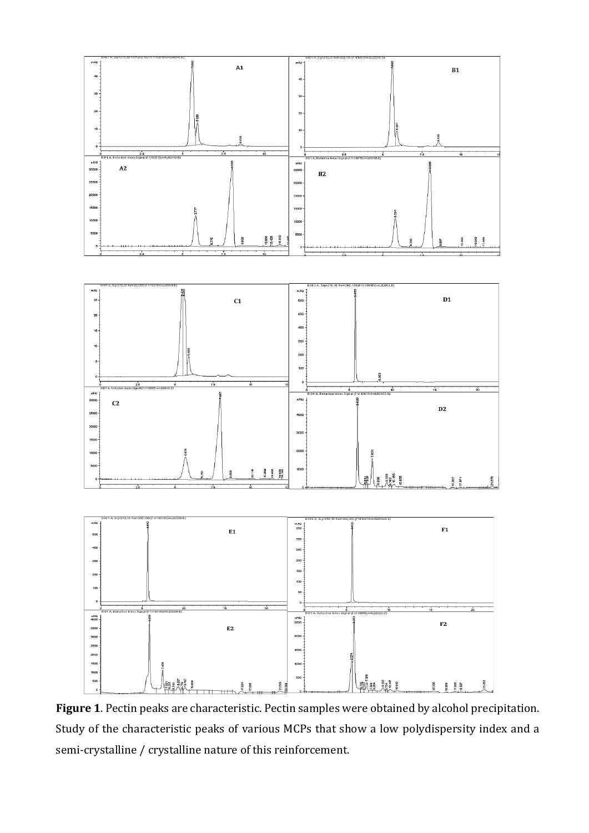

**Figure 1**. Pectin peaks are characteristic. Pectin samples were obtained by alcohol precipitation. Study of the characteristic peaks of various MCPs that show a low polydispersity index and a semi-crystalline / crystalline nature of this reinforcement.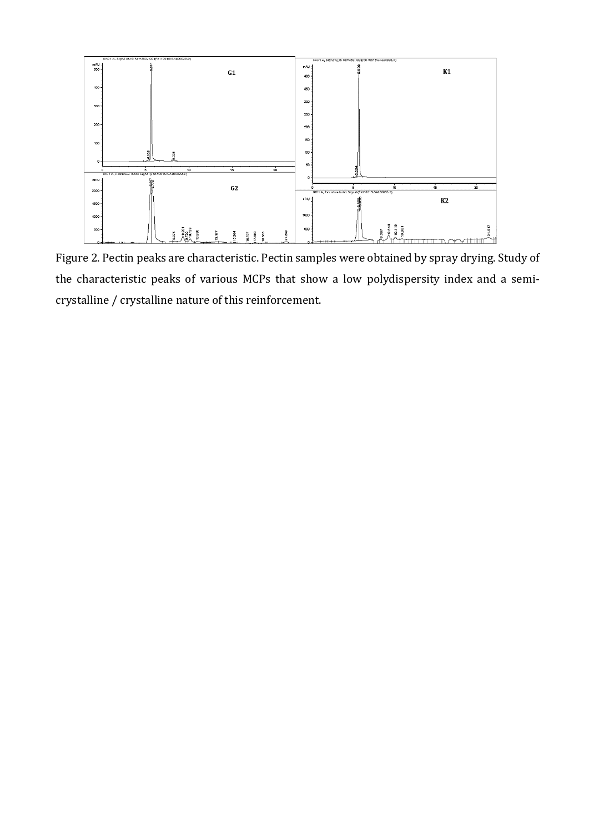

Figure 2. Pectin peaks are characteristic. Pectin samples were obtained by spray drying. Study of the characteristic peaks of various MCPs that show a low polydispersity index and a semicrystalline / crystalline nature of this reinforcement.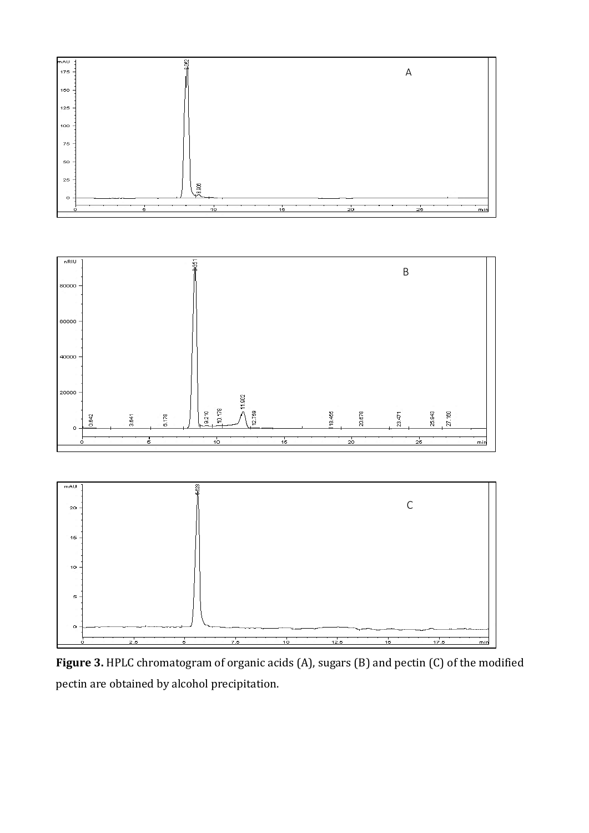





**Figure 3.** HPLC chromatogram of organic acids (A), sugars (B) and pectin (C) of the modified pectin are obtained by alcohol precipitation.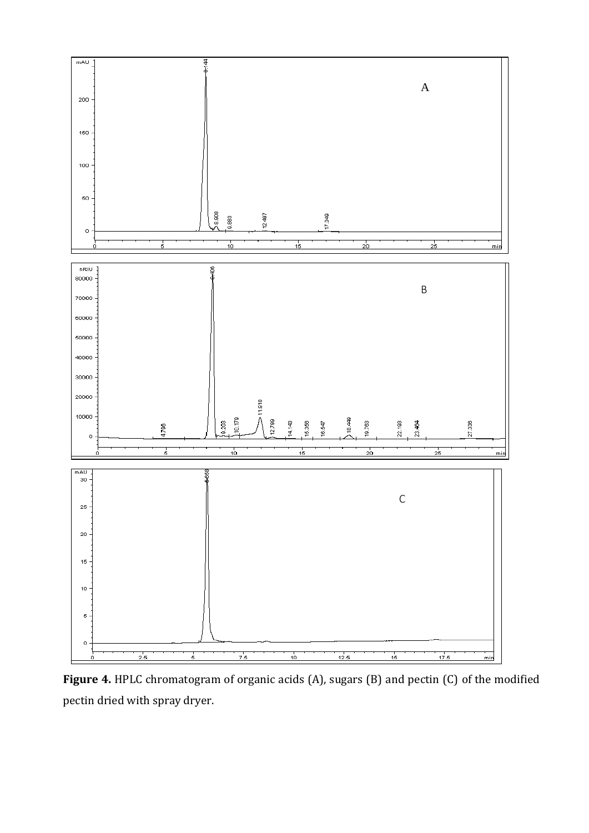

**Figure 4.** HPLC chromatogram of organic acids (A), sugars (B) and pectin (C) of the modified pectin dried with spray dryer.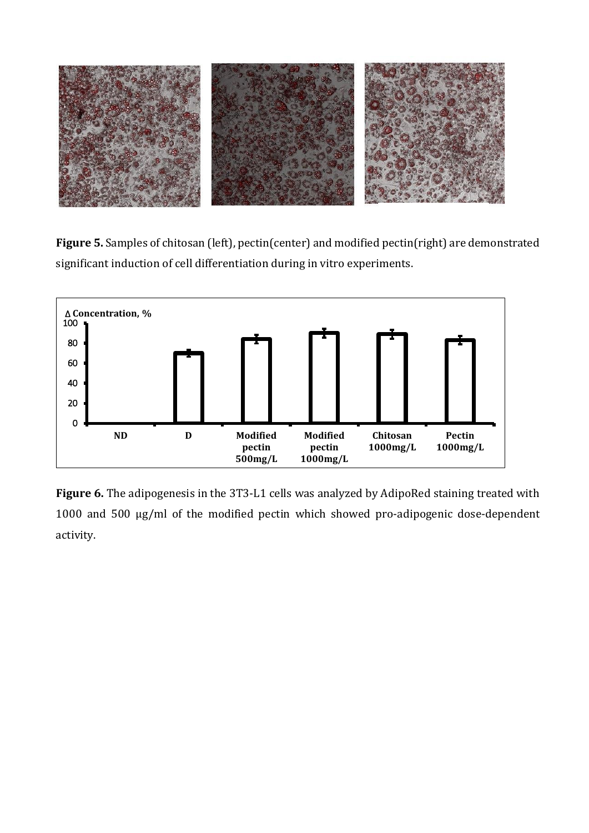

**Figure 5.** Samples of chitosan (left), pectin(center) and modified pectin(right) are demonstrated significant induction of cell differentiation during in vitro experiments.



**Figure 6.** The adipogenesis in the 3T3-L1 cells was analyzed by AdipoRed staining treated with 1000 and 500 μg/ml of the modified pectin which showed pro-adipogenic dose-dependent activity.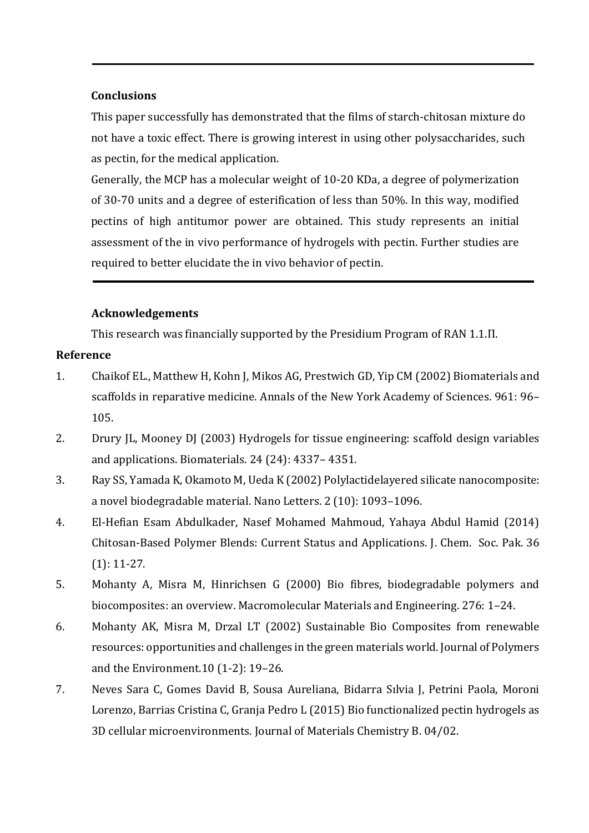# **Conclusions**

This paper successfully has demonstrated that the films of starch-chitosan mixture do not have a toxic effect. There is growing interest in using other polysaccharides, such as pectin, for the medical application.

Generally, the MCP has a molecular weight of 10-20 KDa, a degree of polymerization of 30-70 units and a degree of esterification of less than 50%. In this way, modified pectins of high antitumor power are obtained. This study represents an initial assessment of the in vivo performance of hydrogels with pectin. Further studies are required to better elucidate the in vivo behavior of pectin.

# **Acknowledgements**

This research was financially supported by the Presidium Program of RAN 1.1.П.

# **Reference**

- 1. Chaikof EL., Matthew H, Kohn J, Mikos AG, Prestwich GD, Yip CM (2002) Biomaterials and scaffolds in reparative medicine. Annals of the New York Academy of Sciences. 961: 96– 105.
- 2. Drury JL, Mooney DJ (2003) Hydrogels for tissue engineering: scaffold design variables and applications. Biomaterials. 24 (24): 4337– 4351.
- 3. Ray SS, Yamada K, Okamoto M, Ueda K (2002) Polylactidelayered silicate nanocomposite: a novel biodegradable material. Nano Letters. 2 (10): 1093–1096.
- 4. El-Hefian Esam Abdulkader, Nasef Mohamed Mahmoud, Yahaya Abdul Hamid (2014) Chitosan-Based Polymer Blends: Current Status and Applications. J. Chem. Soc. Pak. 36 (1): 11-27.
- 5. Mohanty A, Misra M, Hinrichsen G (2000) Bio fibres, biodegradable polymers and biocomposites: an overview. Macromolecular Materials and Engineering. 276: 1–24.
- 6. Mohanty AK, Misra M, Drzal LT (2002) Sustainable Bio Composites from renewable resources: opportunities and challenges in the green materials world. Journal of Polymers and the Environment.10 (1-2): 19–26.
- 7. Neves Sara C, Gomes David B, Sousa Aureliana, Bidarra Sılvia J, Petrini Paola, Moroni Lorenzo, Barrias Cristina C, Granja Pedro L (2015) Bio functionalized pectin hydrogels as 3D cellular microenvironments. Journal of Materials Chemistry B. 04/02.